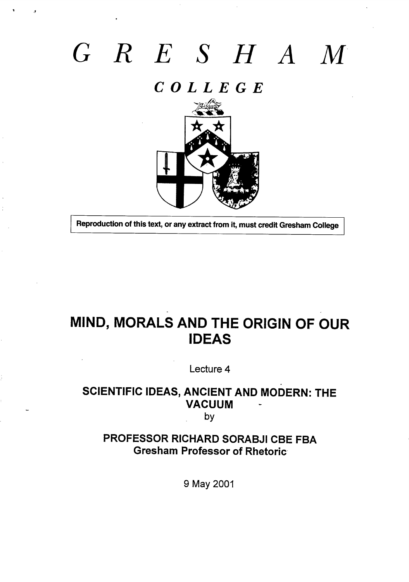# $G \ R \ E \ S \ H \ A \ M$

# $COLLEGE$



Reproduction of this text, or any extract from it, must credit Gresham College

# MIND, MORALS AND THE ORIGIN OF OUR **IDEAS**

Lecture 4

## SCIENTIFIC IDEAS, ANCIENT AND MODERN: THE **VACUUM**

by

## PROFESSOR RICHARD SORABJI CBE FBA **Gresham Professor of Rhetoric**

9 May 2001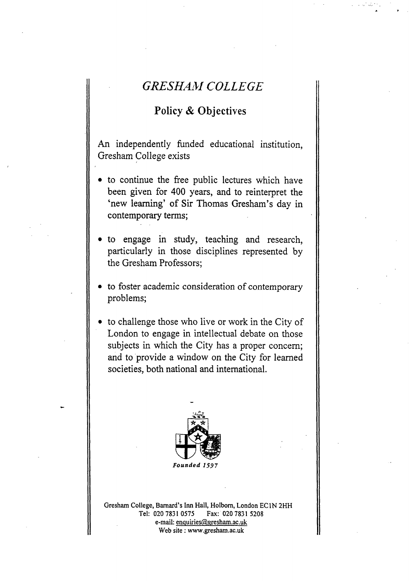## *GRESHAM COLLEGE*

!\$ ,

#### Policy & Objectives

An independently funded educational institution, Gresham College exists

- $\bullet$  to continue the free public lectures which have been given for 400 years, and to reinterpret the 'new learning' of Sir Thomas Gresham's day in contemporary terms;
- to engage in study, teaching and research, particularly in those disciplines represented by the Gresham Professors;
- to foster academic consideration of contemporary problems;
- to challenge those who live or work in the City of London to engage in intellectual debate on those subjects in which the City has a proper concern; and to provide a window on the City for learned societies, both national and international.



Gresham College, Barnard's Inn Hall, Holborn, London EC1N 2HH Tel: 020 7831 0575 Fax: 020 7831 5208 e-mail: enquiries@,gresham.ac.uk Web site: www.gresham.ac.uk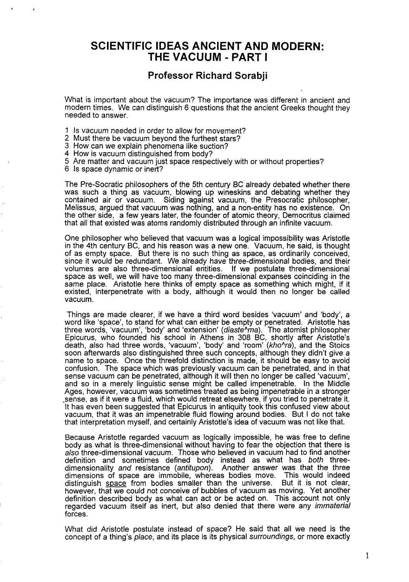#### **SCIENTIFIC IDEAS ANCIENT AND MODERN: THE VACUUM - PART I**

#### **Professor Richard Sorabji**

What is important about the vacuum? The importance was different in ancient and modern times. We can distinguish 6 questions that the ancient Greeks thought they needed to answer.

- 1 Is vacuum needed in order to allow for movement?
- 2 Must there be vacuum beyond the furthest stars′
- 3 How can we explain phenomena like suction?
- 4 How is vacuum distinguished from body?
- 5 Are matter and vacuum just space respectively with or without properties?
- 6 Is space dynamic or inert?

'

I

The Pre-Socratic philosophers of the 5th century BC already debated whether there was such a thing as vacuum, blowing up wineskins and debating whether they contained air or vacuum. Siding against vacuum, the Presocratic philosopher, Melissus, argued that vacuum was nothing, and a non-entity has no existence. On the other side, a few years later, the founder of atomic theory, Democritus claimed that all that existed was atoms randomly distributed through an infinite vacuum.

One philosopher who believed that vacuum was a logical impossibility was Aristotle in the 4th century BC, and his reason was a new one. Vacuum, he said, is thought of as empty space. But there is no such thing as space, as ordinarily conceived, since it would be redundant. We already have three-dimensional bodies, and their volumes are also three-dimensional entities. If we postulate three-dimensional space as well, we will have too many three-dimensional expanses coinciding in the same place. Aristotle here thinks of empty space as something which might, if it existed, interpenetrate with a body, although it would then no longer be called vacuum.

Things are made clearer, if we have a third word besides 'vacuum' and 'body', a word like 'space', to stand for what can either be empty or penetrated. Aristotle has three words, 'vacuum', 'body' and 'extension' (*diaste^ma*). The atomist philosoph $\epsilon$ Epicurus, who founded his school in Athens in 308 BC, shortly after Aristotle' death, also had three words, 'vacuum', 'body' and 'room' (*kho^ra*), and the Stoics soon afterwards also distinguished three such concepts, although they didn't give a name to space. Once the threefold distinction is made, it should be easy to avoid confusion. The space which was previously vacuum can be penetrated, and in tha sense vacuum can be penetrated, although it will then no longer be called 'vacuum', and so in a merely linguistic sense might be called impenetrable. In the Middle Ages, however, vacuum was sometimes treated as being impenetrable in a stronger sense, as if it were a fluid, which would retreat elsewhere, if you tried to penetrate it. It has even been suggested that Epicurus in antiquity took this confused view about vacuum, that it was an impenetrable fluid flowing around bodies. But I do not take that interpretation myself, and certainly Aristotle's idea of vacuum was not like that.

Because Aristotle regarded vacuum as logically impossible, he was free to define body as what is three-dimensional without having to fear the objection that there is a/so three-dimensional vacuum. Those who believed in vacuum had to find another definition and sometimes defined body instead as what has both threedimensionality and resistance (anfifupon). Another answer was that the three dimensions of space are immobile, whereas bodies move. This would indeed distinguish space from bodies smaller than the universe. But it is not clear, however, that we could not conceive of bubbles of vacuum as moving. Yet another definition described body as what can act or be acted on. This account not only regarded vacuum itself as inert, but also denied that there were any *immaterial* forces.

What did Aristotle postulate instead of space? He said that all we need is the concept of a thing's place, and its place is its physical surroundings, or more exactly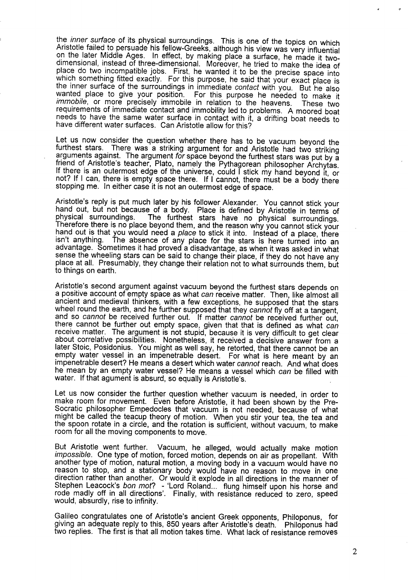the *inner surface* of its physical surroundings. This is one of the topics on which Aristotle failed to persuade his fellow-Greeks, although his view was very influential on the later Middle Ages. In effect, by making place a surface, he made it **two**dimensional, instead of three-dimensional. Moreover, he tried to make the idea of place do two incompatible jobs. First, he wanted it to be the precise space into which something fitted exactly. For this purpose, he said that your exact place is the inner surface of the surroundings in immediate contact with you. But he also wanted place to give your position. For this purpose he needed to make it immobile, or more precisely immobile in relation to the heavens. These two requirements of immediate contact and immobility led to problems. A moored boat needs to have the same water surface in contact with it, a drifting boat needs to have different water surfaces. Can Aristotle allow for this?

Let us now consider the question whether there has to be vacuum beyond the furthest stars. There was a striking argument for and Aristotle had two striking arguments against. The argument for space beyond the furthest stars was put by a friend of Aristotle's teacher, Plato, namely the Pythagorean philosopher Archytas. If there is an outermost edge of the universe, could I stick my hand beyond it, or not? If I can, there is empty space there. If I cannot, there must be a body there stopping me. In either case it is not an outermost edge of space.

Aristotle's reply is put much later by his follower Alexander. You cannot stick your hand out, but not because of a body. Place is defined by Aristotle in terms of physical surroundings. The furthest stars have no physical surroundings. The furthest stars have no physical surroundings, Therefore there is no place beyond them, and the reason why you cannot stick your hand out is that you would need a place to stick it into. Instead of a place, there isn't anything. The absence of any place for the stars is here turned into an The absence of any place for the stars is here turned into an advantage. Sometimes it had proved a disadvantage, as when it was asked in what sense the wheeling stars can be said to change their place, if they do not have any place at all. Presumably, they change their relation not to what surrounds them, but to things on earth.

Aristotle's second argument against vacuum beyond the furthest stars depends on a positive account of empty space as what can receive matter. Then, like almost all ancient and medieval thinkers, with a few exceptions, he supposed that the stars wheel round the earth, and he further supposed that they cannot fly off at a tangent, and so cannot be received further out. If matter cannot be received further out, there cannot be further out empty space, given that that is defined as what can receive matter. The argument is not stupid, because it is very difficult to get clear about correlative possibilities. Nonetheless, it received a decisive answer from a later Stoic, Posidonius. You might as well say, he retorted, that there cannot be an empty water vessel in an impenetrable desert. For what is here meant by an impenetrable desert? He means a desert which water cannot reach. And what does he mean by an empty water vessel? He means a vessel which can be filled with water. If that agument is absurd, so equally is Aristotle's.

Let us now consider the further question whether vacuum is needed, in order to make room for movement. Even before Aristotle, it had been shown by the Pre-Socratic philosopher Empedocles that vacuum is not needed, because of what might be called the teacup theory of motion. When you stir your tea, the tea and the spoon rotate in a circle, and the rotation is sufficient, without vacuum, to make room for all the moving components to move.

But Aristotle went further. Vacuum, he alleged, would actually make motion impossible. One type of motion, forced motion, depends on air as propellant. With another type of motion, natural motion, a moving body in a vacuum would have no reason to stop, and a stationary body would have no reason to move in one direction rather than another. Or would it explode in all directions in the manner of Stephen Leacock's *bon mot?* - Lord Roland... flung himself upon his horse and rode madly off in all directions'. Finally, with resistance reduced to zero, speed would, absurdly, rise to infinity.

Galileo congratulates one of Aristotle's ancient Greek opponents, Philoponus, for giving an adequate reply to this, 850 years after Aristotle's death. Philoponus had two replies. The first is that all motion takes time. What lack of resistance removes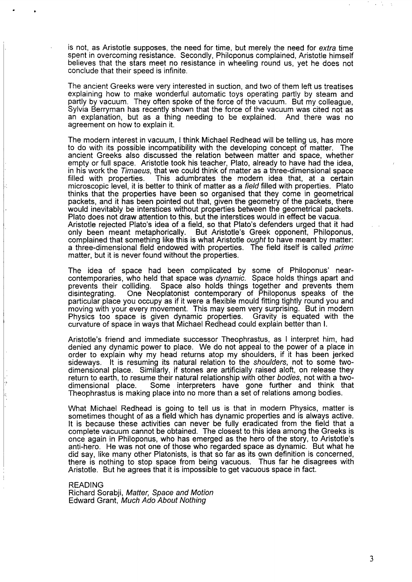is not, as Aristotle supposes, the need for time, but merely the need for extra time spent in overcoming resistance. Secondly, Philoponus complained, Aristotle himself believes that the stars meet no resistance in wheeling round us, yet he does not conclude that their speed is infinite.

The ancient Greeks were very interested in suction, and two of them left us treatises explaining how to make wonderful automatic toys operating partly by steam and partly by vacuum. They often spoke of the force of the vacuum. But my colleague, Sylvia Berryman has recently shown that the force of the vacuum was cited not as an explanation, but as a thing needing to be explained. And there was no agreement on how to explain it.

The modern interest in vacuum, I think Michael Redhead will be telling us, has more to do with its possible incompatibility with the developing concept of matter. The ancient Greeks also discussed the relation between matter and space, whethe empty or full space. Aristotle took his teacher, Plato, already to have had the idea, in his work the Timaeus, that we could think of matter as a three-dimensional space filled with properties. This adumbrates the modern idea that, at a certain microscopic level, it is better to think of matter as a field filled with properties. Plato thinks that the properties have been so organised that they come in geometrical packets, and it has been pointed out that, given the geometry of the packets, there would inevitably be interstices without properties between the geometrical packets. Plato does not draw attention to this, but the interstices would in effect be vacua. Aristotle rejected Plato's idea of a field, so that Plato's defenders urged that it had only been meant metaphorically. But Aristotle's Greek opponent, Philoponus, complained that something like this is what Aristotle ought to have meant by matter: a three-dimensional field endowed with properties. The field itself is called prime matter, but it is never found without the properties.

The idea of space had been complicated by some of Philoponus' nearcontemporaries, who held that space was *dynamic.* Space holds things apart anc prevents their colliding. Space also holds things together and prevents them disintegrating. One Neoplatonist contemporary of Philoponus speaks of the particular place you occupy as if it were a flexible mould fitting tightly round you and moving with your every movement. This may seem very surprising. But in modern Physics too space is given dynamic properties. Gravity is equated with the curvature of space in ways that Michael Redhead could explain better than 1.

Aristotle's friend and immediate successor Theophrastus, as I interpret him, had denied any dynamic power to place. We do not appeal to the power of a place in order to explain why my head returns atop my shoulders, if it has been jerked sideways. It is resuming its natural relation to the shoulders, not to some twodimensional place. Similarly, if stones are artificially raised aloft, on release they return to earth, to resume their natural relationship with other bodies, not with a twodimensional place. Some interpreters have gone further and think that Theophrastus is making place into no more than a set of relations among bodies.

What Michael Redhead is going to tell us is that in modern Physics, matter is sometimes thought of as a field which has dynamic properties and is always active. It is because these activities can never be fully eradicated from the field that a complete vacuum cannot be obtained. The closest to this idea among the Greeks is once again in Philoponus, who has emerged as the hero of the story, to Aristotle's anti-hero. He was not one of those who regarded space as dynamic. But what he did say, like many other Platonists, is that so far as its own definition is concerned, there is nothing to stop space from being vacuous. Thus far he disagrees with Aristotle. But he agrees that it is impossible to get vacuous space in fact.

#### READING

**1:"**

I

I ..

**1,:.**

Richard Sorabji, Matter, Space and Motion Edward Grant, Much Ado About Nothing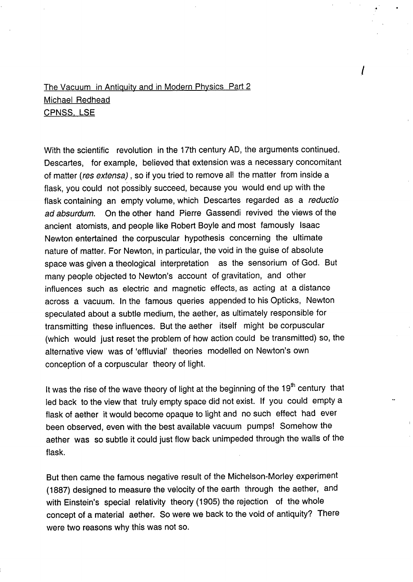### The Vacuum in Antiquity and in Modern Physics Part 2 Michael Redhead CPNSS, LSE

With the scientific revolution in the 17th century AD, the arguments continued. Descartes, for example, believed that extension was a necessary concomitant of matter (res extensa), so if you tried to remove all the matter from inside a flask, you could not possibly succeed, because you would end up with the flask containing an empty volume, which Descartes regarded as a reductio ad absurdum. On the other hand Pierre Gassendi revived the views of the ancient atomists, and people like Robert Boyle and most famously Isaac Newton entertained the corpuscular hypothesis concerning the ultimate nature of matter. For Newton, in particular, the void in the guise of absolute space was given a theological interpretation as the sensorium of God. But many people objected to Newton's account of gravitation, and other influences such as electric and magnetic effects, as acting at a distance across a vacuum. In the famous queries appended to his Opticks, Newton speculated about a subtle medium, the aether, as ultimately responsible for transmitting these influences. But the aether itself might be corpuscular (which would just reset the problem of how action could be transmitted) so, the alternative view was of 'effluvial' theories modelled on Newton's own conception of a corpuscular theory of light.

It was the rise of the wave theory of light at the beginning of the 19<sup>th</sup> century that led back to the view that truly empty space did not exist. If you could empty a flask of aether it would become opaque to light and no such effect had ever been observed, even with the best available vacuum pumps! Somehow the aether was so subtle it could just flow back unimpeded through the walls of the flask.

But then came the famous negative result of the Michelson-Morley experiment (1887) designed to measure the velocity of the earth through the aether, and with Einstein's special relativity theory (1905) the rejection of the whole concept of a material aether. So were we back to the void of antiquity? There were two reasons why this was not so.

I

,, .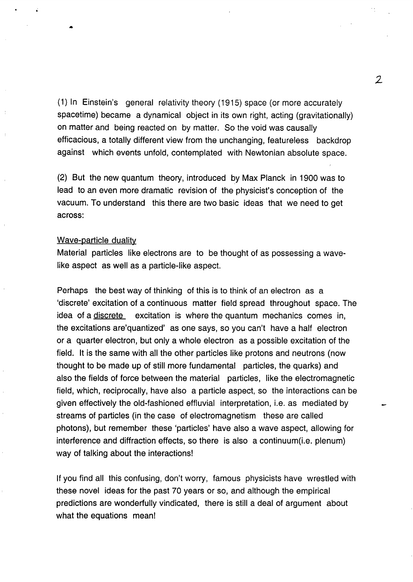(1) In Einstein's general relativity theory(1915) space (or more accurately spacetime) became a dynamical object in its own right, acting (gravitationally) on matter and being reacted on by matter. So the void was causally efficacious, a totally different view from the unchanging, featureless backdrop against which events unfold, contemplated with Newtonian absolute space.

(2) But the new quantum theory, introduced by Max Planck in 1900 was to lead to an even more dramatic revision of the physicist's conception of the vacuum. To understand this there are two basic ideas that we need to get across:

#### Wave-particle duality

. **\*',**

Material particles like electrons are to be thought of as possessing a wave like aspect as well as a particle-like aspect.

Perhaps the best way of thinking of this is to think of an electron as a 'discrete' excitation of a continuous matter field spread throughout space. The idea of a discrete excitation is where the quantum mechanics comes in, the excitations are'quantized' as one says, so you can't have a half electron or a quarter electron, but only a whole electron as a possible excitation of the field. It is the same with all the other particles like protons and neutrons (now thought to be made up of still more fundamental particles, the quarks) and also the fields of force between the material particles, like the electromagnetic field, which, reciprocally, have also a particle aspect, so the interactions can be given effectively the old-fashioned effluvial interpretation, i.e. as mediated by streams of particles (in the case of electromagnetism these are called photons), but remember these 'particles' have also a wave aspect, allowing for interference and diffraction effects, so there is also a continuum(i.e. plenum) way of talking about the interactions!

If you find all this confusing, don't worry, famous physicists have wrestled with these novel ideas for the past 70 years or so, and although the empirical predictions are wonderfully vindicated, there is still a deal of argument about what the equations mean!

**2**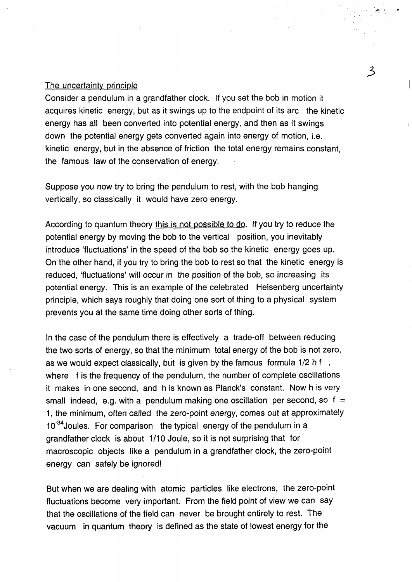#### The uncertainty principle

Consider a pendulum in a grandfather clock. If you set the bob in motion it acquires kinetic energy, but as it swings up to the endpoint of its arc the kinetic energy has all been converted into potential energy, and then as it swings down the potential energy gets converted again into energy of motion, i.e. kinetic energy, but in the absence of friction the total energy remains constant, the famous law of the conservation of energy.

Suppose you now try to bring the pendulum to rest, with the bob hanging vertically, so classically it would have zero energy.

According to quantum theory this is not possible to do, If you try to reduce the potential energy by moving the bob to the vertical position, you inevitably introduce 'fluctuations' in the speed of the bob so the kinetic energy goes up. On the other hand, if you try to bring the bob to rest so that the kinetic energy is reduced, 'fluctuations' will occur in the position of the bob, so increasing its potential energy. This is an example of the celebrated Heisenberg uncertainty principle, which says roughly that doing one sort of thing to a physical system prevents you at the same time doing other sorts of thing.

In the case of the pendulum there is effectively a trade-off between reducing the two sorts of energy, so that the minimum total energy of the bob is not zero, as we would expect classically, but is given by the famous formula 1/2 h f, where f is the frequency of the pendulum, the number of complete oscillations it makes in one second, and h is known as Planck's constant. Now h is very small indeed, e.g. with a pendulum making one oscillation per second, so  $f =$ 1, the minimum, often called the zero-point energy, comes out at approximately  $10^{-34}$ Joules. For comparison the typical energy of the pendulum in a grandfather clock is about 1/10 Joule, so it is not surprising that for macroscopic objects like a pendulum in a grandfather clock, the zero-point energy can safely be ignored!

But when we are dealing with atomic particles like electrons, the zero-point fluctuations become very important. From the field point of view we can say that the oscillations of the field can never be brought entirely to rest. The vacuum in quantum theory is defined as the state of lowest energy for the

 $\mathfrak{Z}$ 

.,

,.. .

-.!-, ! ).

,. :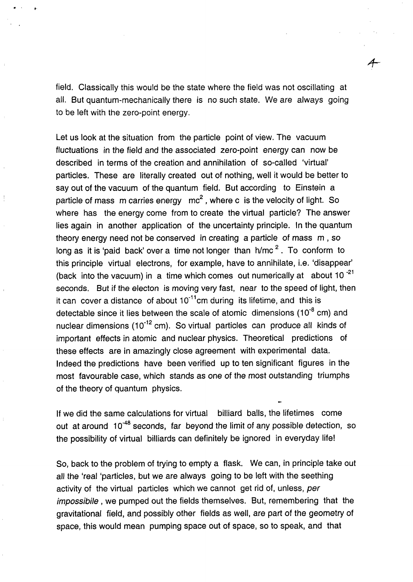field, Classically this would be the state where the field was not oscillating at all. But quantum-mechanically there is no such state. We are always going to be left with the zero-point energy.

".\*

Let us look at the situation from the particle point of view, The vacuum fluctuations in the field and the associated zero-point energy can now be described in terms of the creation and annihilation of so-called 'virtual' particles. These are literally created out of nothing, well it would be better to say out of the vacuum of the quantum field. But according to Einstein a particle of mass m carries energy  $mc^2$ , where c is the velocity of light. So where has the energy come from to create the virtual particle? The answer lies again in another application of the uncertainty principle. In the quantum theory energy need not be conserved in creating a particle of mass m , so long as it is 'paid back' over a time not longer than  $h/mc<sup>2</sup>$ . To conform to this principle virtual electrons, for example, have to annihilate, i.e. 'disappear' (back into the vacuum) in a time which comes out numerically at about 10 $^{-21}$ seconds. But if the electon is moving very fast, near to the speed of light, then it can cover a distance of about  $10^{-11}$ cm during its lifetime, and this is detectable since it lies between the scale of atomic dimensions  $(10^{-8}$  cm) and nuclear dimensions  $(10^{-12}$  cm). So virtual particles can produce all kinds of important effects in atomic and nuclear physics. Theoretical predictions of these effects are in amazingly close agreement with experimental data. Indeed the predictions have been verified up to ten significant figures in the most favourable case, which stands as one of the most outstanding triumphs of the theory of quantum physics.

If we did the same calculations for virtual billiard balls, the lifetimes come out at around 10<sup>-48</sup> seconds, far beyond the limit of any possible detection, so the possibility of virtual billiards can definitely be ignored in everyday life!

So, back to the problem of trying to empty a flask. We can, in principle take out all the 'real 'particles, but we are always going to be left with the seething activity of the virtual particles which we cannot get rid of, unless, per impossibile, we pumped out the fields themselves. But, remembering that the gravitational field, and possibly other fields as well, are part of the geometry of space, this would mean pumping space out of space, so to speak, and that